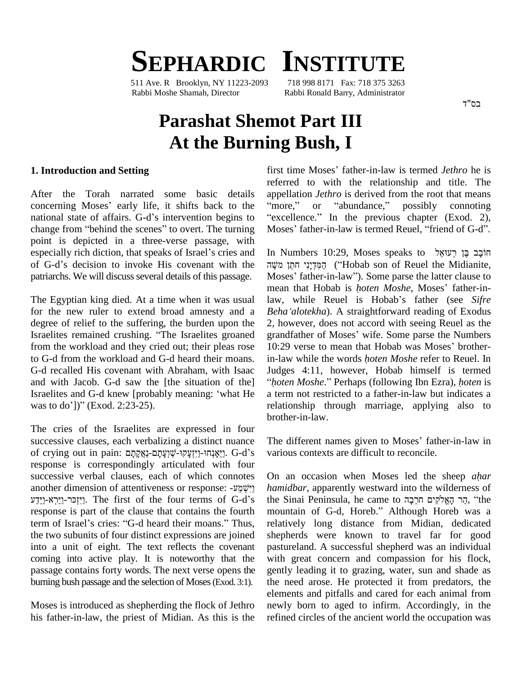# $S$ **EPHARDIC INSTITUTE**

511 Ave. R Brooklyn, NY 11223-2093 Rabbi Moshe Shamah, Director Rabbi Ronald Barry, Administrator

# **Parashat Shemot Part III At the Burning Bush, I**

#### **1. Introduction and Setting**

After the Torah narrated some basic details concerning Moses' early life, it shifts back to the "more," national state of affairs. G-d's intervention begins to concerning Moses' early life, it shifts back to the "more<br>national state of affairs. G-d's intervention begins to "excel<br>change from "behind the scenes" to overt. The turning Moses point is depicted in a three-verse passage, with<br>especially rich diction, that speaks of Israel's cries and In Nu<br>point invoke His covenant with the מְיֹשֶׁה change from "behind the scenes" to overt. The turning Moses<br>point is depicted in a three-verse passage, with<br>especially rich diction, that speaks of Israel's cries and In Nu patriarchs. We will discuss several details of this passage.

for the new ruler to extend broad amnesty and a *Beha'alotekha*). A straightforward reading of Exodus degree of relief to the suffering, the burden upon the Israelites remained crushing. "The Israelites groaned from the workload and they cried out; their pleas rose 10:29 verse to mean that Hobab was Moses' brotherto G-d from the workload and G-d heard their moans. G-d recalled His covenant with Abraham, with Isaac and with Jacob. G-d saw the [the situation of the] G-d recalled His covenant with Abraham, with Isaac Judge<br>and with Jacob. G-d saw the [the situation of the] "*hote*<br>Israelites and G-d knew [probably meaning: 'what He a tern and with Jacob. G-d saw the [th]<br>Israelites and G-d knew [probably<br>was to do'])" (Exod. 2:23-25).

The cries of the Israelites are expressed in four successive clauses, each verbalizing a distinct nuance of crying out in pain: אֲמָקוּ-שׁוָעֲתַם-נַאֱקַתַּם: G-d's response is correspondingly articulated with four<br>successive verbal clauses, each of which connotes On<br>another dimension of attentiveness or response:  $\nu$ <sup>*r*</sup>? successive verbal clauses, each of which connotes On another dimension of attentiveness or response: יַיִּשְׁמַע<br>
יַרְהָר-נַיָּרָא-נַיִּדָע hamidbar, apparently westward into the wilderness of the first of the four terms of G-d's the Sinai Peninsula, he came to הָר הַאֱל response is part of the clause that contains the fourth mountain of G-d, Horeb." Although Horeb was a יִיזְכּר-וַיַּרְא-וַיֵּדַע. The first of the four terms of G-d's response is part of the clause that contains the fourth term of Israel's cries: "G-d heard their moans." Thus, the two subunits of four distinct expressions are joined into a unit of eight. The text reflects the covenant coming into active play. It is noteworthy that the passage contains forty words. The next verse opens the burning bush passage and the selection of Moses(Exod. 3:1).

Moses is introduced as shepherding the flock of Jethro his father-in-law, the priest of Midian. As this is the first time Moses' father-in-law is termed *Jethro* he is referred to with the relationship and title. The referred to with the relationship and title. The appellation *Jethro* is derived from the root that means "more," or "abundance," possibly connoting appellation *Jethro* is derived from the root that means<br>"more," or "abundance," possibly connoting<br>"excellence." In the previous chapter (Exod. 2), "more," or "abundance," possibly connoting<br>"excellence." In the previous chapter (Exod. 2),<br>Moses' father-in-law is termed Reuel, "friend of G-d".

The Egyptian king died. At a time when it was usual law, while Reuel is Hobab's father (see Sifre In Numbers 10:29, Moses speaks to תוֹבָב בֵּן רְעוֹאֵל Numbers 10:29, Moses speaks to הוֹבָב בֶּן רְעוּאֵל<br>י הַמִּדְיָנִי חֹתֵן מֹ In Numbers 10:29, Moses speaks to חֹבָב בֶּן רְעוּאֵל<br>הַמִּדְיָנִי חֹתֵן מֹשֶׁה (''Hobab son of Reuel the Midianite,<br>Moses' father-in-law''). Some parse the latter clause to הַמְּדְיָנִי חֹתֵן מֹשֶׁה ("Hobab son of Reuel the Midianite,<br>Moses' father-in-law"). Some parse the latter clause to<br>mean that Hobab is *hoten Moshe*, Moses' father-in-Moses' father-in-law"). Some parse the latter clause to mean that Hobab is *hoten Moshe*, Moses' father-in-2, however, does not accord with seeing Reuel as the Beha'alotekha). A straightforward reading of Exodus<br>2, however, does not accord with seeing Reuel as the<br>grandfather of Moses' wife. Some parse the Numbers 2, however, does not accord with seeing Reuel as the grandfather of Moses' wife. Some parse the Numbers 10:29 verse to mean that Hobab was Moses' brothergrandfather of Moses' wife. Some parse the Numbers Judges 4:11, however, Hobab himself is termed in-law while the words *hoten Moshe* refer to Reuel. In *<sup>h</sup>oten Moshe*.<sup>î</sup> Perhaps (following Ibn Ezra), *<sup>h</sup>oten* is a term not restricted to a father-in-law but indicates a relationship through marriage, applying also to brother-in-law.

> The different names given to Moses' father-in-law in various contexts are difficult to reconcile. On an occasion when Moses led the sheep *ahar*

h*amidbar*, apparently westward into the wilderness of<br>the Sinai Peninsula, he came to הֵר הָאֱלֹקִים חֹרֵבָה, "the<br>mountain of G-d, Horeb." Although Horeb was a On an occasion when Moses led the sheep *ahar hamidbar*, apparently westward into the wilderness of<br>the Sinai Peninsula, he came to הֲרָךְ הָאֱלֹקִים חֹרֵבָה, "the relatively long distance from Midian, dedicated shepherds were known to travel far for good pastureland. A successful shepherd was an individual with great concern and compassion for his flock, gently leading it to grazing, water, sun and shade as the need arose. He protected it from predators, the elements and pitfalls and cared for each animal from newly born to aged to infirm. Accordingly, in the refined circles of the ancient world the occupation was

בס"ד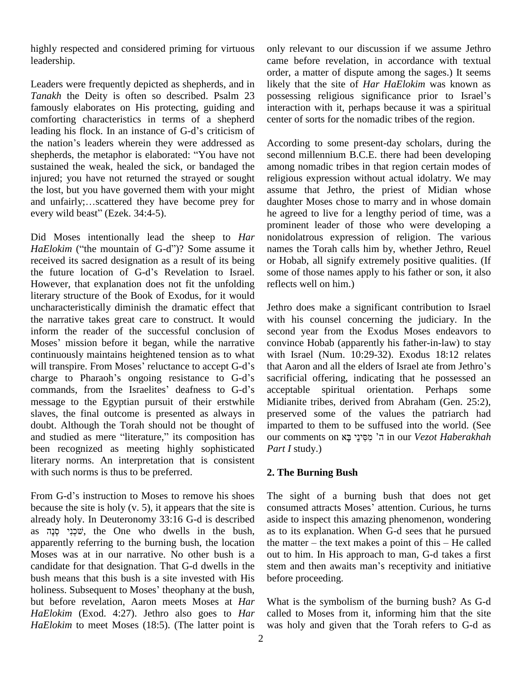highly respected and considered priming for virtuous leadership.

Leaders were frequently depicted as shepherds, and in *Tanakh* the Deity is often so described. Psalm 23 possessing religious significance prior to Israel's famously elaborates on His protecting, guiding and interaction comforting characteristics in terms of a shepherd center of leading his flock. In an instance of G-d's criticism of comforting characteristics in terms of a shepherd leading his flock. In an instance of G-d's criticism of the nation's leaders wherein they were addressed as shepherds, the metaphor is elaborated: "You have not sustained the weak, healed the sick, or bandaged the injured; you have not returned the strayed or sought reliation relations, but you have governed them with your might ass<br>and unfairly;...scattered they have become prey for dau the lost, but you have governed them with your might<br>and unfairly;...scattered they have become prey for<br>every wild beast" (Ezek. 34:4-5).

Did Moses intentionally lead the sheep to *Har* pro<br>Did Moses intentionally lead the sheep to *Har* nor<br>*HaElokim* ("the mountain of G-d")? Some assume it nar received its sacred designation as a result of its being HaElokim ("the mountain of G-d")? Some assume it natelectived its sacred designation as a result of its being on the future location of G-d's Revelation to Israel. However, that explanation does not fit the unfolding literary structure of the Book of Exodus, for it would uncharacteristically diminish the dramatic effect that the narrative takes great care to construct. It would with inform the reader of the successful conclusion of second<br>Moses' mission before it began, while the narrative convir inform the reader of the successful conclusion of continuously maintains heightened tension as to what Moses' mission before it began, while the narrative convince Hobab (apparently his father-in-law) to stay continuously maintains heightened tension as to what with Israel (Num. 10:29-32). Exodus 18:12 relates will transpir charge to Pharaoh's ongoing resistance to G-d's commands, from the Israelites' deafness to G-d's message to the Egyptian pursuit of their erstwhile slaves, the final outcome is presented as always in doubt. Although the Torah should not be thought of and studied as mere "literature," its composition has our comments on ה' מְסִינֵי בָא in our Vezot Haberakhah been recognized as meeting highly sophisticated literary norms. An interpretation that is consistent with such norms is thus to be preferred.

From G-d's instruction to Moses to remove his shoes because the site is holy (v. 5), it appears that the site is consumed attracts Moses' attention. Curious, he turns already holy. In Deuteronomy 33:16 G-d is described as שִׁכְנִי  $\psi$ , the One who dwells in the bush, apparently referring to the burning bush, the location the manufoses was at in our narrative. No other bush is a out to candidate for that designation. That G-d dwells in the stem a Moses was at in our narrative. No other bush is a bush means that this bush is a site invested with His candidate for that designation. That G-d dwells in the stem and then awaits man's receptivity and initiative bush means that this bush is a site invested with His before proceeding.<br>holiness. Subsequent to Moses' theophany but before revelation, Aaron meets Moses at *Har HaElokim* (Exod. 4:27). Jethro also goes to *Har HaElokim* to meet Moses (18:5). (The latter point is

only relevant to our discussion if we assume Jethro came before revelation, in accordance with textual order, a matter of dispute among the sages.) It seems<br>likely that the site of *Har HaElokim* was known as<br>possessing religious significance prior to Israel's likely that the site of *Har HaElokim* was known as interaction with it, perhaps because it was a spiritual center of sorts for the nomadic tribes of the region.

According to some present-day scholars, during the second millennium B.C.E. there had been developing among nomadic tribes in that region certain modes of religious expression without actual idolatry. We may assume that Jethro, the priest of Midian whose daughter Moses chose to marry and in whose domain he agreed to live for a lengthy period of time, was a prominent leader of those who were developing a nonidolatrous expression of religion. The various names the Torah calls him by, whether Jethro, Reuel or Hobab, all signify extremely positive qualities. (If some of those names apply to his father or son, it also reflects well on him.)

Jethro does make a significant contribution to Israel with his counsel concerning the judiciary. In the second year from the Exodus Moses endeavors to convince Hobab (apparently his father-in-law) to stay that Aaron and all the elders of Israel ate from Jethroí<sup>s</sup> with Israel (Num. 10:29-32). Exodus 18:12 relates sacrificial offering, indicating that he possessed an acceptable spiritual orientation. Perhaps some Midianite tribes, derived from Abraham (Gen. 25:2), preserved some of the values the patriarch had<br>imparted to them to be suffused into the world. (See<br>our comments on קָּמִינֵי בָּא in our *Vezot Haberakhah* imparted to them to be suffused into the world. (See *Part I* study.)

#### **2. The Burning Bush**

The sight of a burning bush that does not get The sight of a burning bush that does not get<br>consumed attracts Moses' attention. Curious, he turns aside to inspect this amazing phenomenon, wondering as to its explanation. When G-d sees that he pursued aside to inspect this amazing phenomenon, wondering<br>as to its explanation. When G-d sees that he pursued<br>the matter – the text makes a point of this – He called out to him. In His approach to man, G-d takes a first the matter – the text makes a point of this – He called<br>out to him. In His approach to man, G-d takes a first<br>stem and then awaits man's receptivity and initiative before proceeding.

What is the symbolism of the burning bush? As G-d called to Moses from it, informing him that the site was holy and given that the Torah refers to G-d as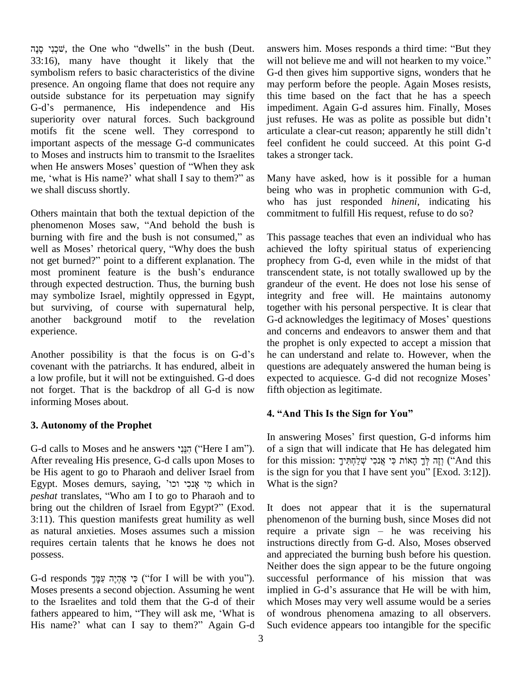ʩʑʰʫʍˇ, the One who <sup>ì</sup>dwells<sup>î</sup> in the bush (Deut. 33:16), many have thought it likely that the will not believe me and will not hearken to my voice." symbolism refers to basic characteristics of the divine presence. An ongoing flame that does not require any outside substance for its perpetuation may signify presence. An ongoing flame that does not require any may outside substance for its perpetuation may signify this G-d's permanence, His independence and His import superiority over natural forces. Such background motifs fit the scene well. They correspond to articulate a clear-cut reason; apparently he still didn't important aspects of the message G-d communicates to Moses and instructs him to transmit to the Israelites important aspects of the message G-d communicates feel c<br>to Moses and instructs him to transmit to the Israelites takes a<br>when He answers Moses' question of "When they ask to Moses and instructs him to transmit to the Israelites take<br>when He answers Moses' question of "When they ask<br>me, 'what is His name?' what shall I say to them?" as Mar we shall discuss shortly.

Others maintain that both the textual depiction of the who<br>Others maintain that both the textual depiction of the com<br>phenomenon Moses saw, "And behold the bush is Others maintain that both the textual depiction of the comphenomenon Moses saw, "And behold the bush is not consumed," as This burning with fire and the bush is not consumed," as well as Moses' rhetorical query, "Why does the bush burning with fire and the bush is not consumed," as This well as Moses' rhetorical query, "Why does the bush achie not get burned?" point to a different explanation. The proph well as Moses' rhetorical query, "Why does the bush achie<br>not get burned?" point to a different explanation. The proph<br>most prominent feature is the bush's endurance transe through expected destruction. Thus, the burning bush may symbolize Israel, mightily oppressed in Egypt, but surviving, of course with supernatural help, another background motif to the revelation G-d acknowledges the legitimacy of Moses' questions experience.

Another possibility is that the focus is on G-d's covenant with the patriarchs. It has endured, albeit in a low profile, but it will not be extinguished. G-d does not forget. That is the backdrop of all G-d is now informing Moses about.

# **3. Autonomy of the Prophet**

G-d calls to Moses and he answers יְהַנֵּנִי ("Here I am"). After revealing His presence, G-d calls upon Moses to be His agent to go to Pharaoh and deliver Israel from Egypt. Moses demurs, saying, ¶ʥʫʥ ʩʫʑʰˌ ʩʮʑ which in be His agent to go to Pharaoh and deliver Israel from is the Egypt. Moses demurs, saying, אֲנִכְי וֹכוֹ<br> *peshat* translates, "Who am I to go to Pharaoh and to Egypt. Moses demurs, saying, פֵי אָנכִי וכו', which in Wheshat translates, "Who am I to go to Pharaoh and to bring out the children of Israel from Egypt?" (Exod. It 3:11). This question manifests great humility as well as natural anxieties. Moses assumes such a mission requires certain talents that he knows he does not possess.

G-d responds פִי אֶהְיֶה עִמָּךְ ('íor I will be with you''). Moses presents a second objection. Assuming he went implied in G-d's assurance that He will be with him, to the Israelites and told them that the G-d of their Moses presents a second objection. Assuming he went impite to the Israelites and told them that the G-d of their which fathers appeared to him, "They will ask me, 'What is of v to the Israelites and told them that the G-d of their which<br>fathers appeared to him, "They will ask me, 'What is of wo<br>His name?' what can I say to them?" Again G-d Such

answers him. Moses responds a third time: "But they answers him. Moses responds a third time: "But they<br>will not believe me and will not hearken to my voice." G-d then gives him supportive signs, wonders that he may perform before the people. Again Moses resists, this time based on the fact that he has a speech impediment. Again G-d assures him. Finally, Moses just refuses. He was as polite as possible but didn't impediment. Again G-d assures him. Finally, Moses just refuses. He was as polite as possible but didn't feel confident he could succeed. At this point G-d takes a stronger tack.

Many have asked, how is it possible for a human being who was in prophetic communion with G-d, who has just responded *hineni*, indicating his commitment to fulfill His request, refuse to do so?

This passage teaches that even an individual who has achieved the lofty spiritual status of experiencing prophecy from G-d, even while in the midst of that transcendent state, is not totally swallowed up by the grandeur of the event. He does not lose his sense of integrity and free will. He maintains autonomy together with his personal perspective. It is clear that integrity and free will. He maintains autonomy<br>together with his personal perspective. It is clear that<br>G-d acknowledges the legitimacy of Moses' questions and concerns and endeavors to answer them and that the prophet is only expected to accept a mission that he can understand and relate to. However, when the questions are adequately answered the human being is expected to acquiesce. G-d did not recognize Moses' fifth objection as legitimate.

# **4. ìAnd This Is the Sign for Youî**

In answering Moses' first question, G-d informs him of a sign that will indicate that He has delegated him for this mission: וְזֶה לְּךָ הָאוֹת כִּי אֲנִכִי שְׁלַחָתִּיךָ "And this is the sign for you that I have sent you"  $[Exod. 3:12]$ ). What is the sign?

It does not appear that it is the supernatural phenomenon of the burning bush, since Moses did not require a private sign  $-\overline{h}$  he was receiving his instructions directly from G-d. Also, Moses observed and appreciated the burning bush before his question. Neither does the sign appear to be the future ongoing<br>successful performance of his mission that was<br>implied in G-d's assurance that He will be with him, successful performance of his mission that was which Moses may very well assume would be a series of wondrous phenomena amazing to all observers. Such evidence appears too intangible for the specific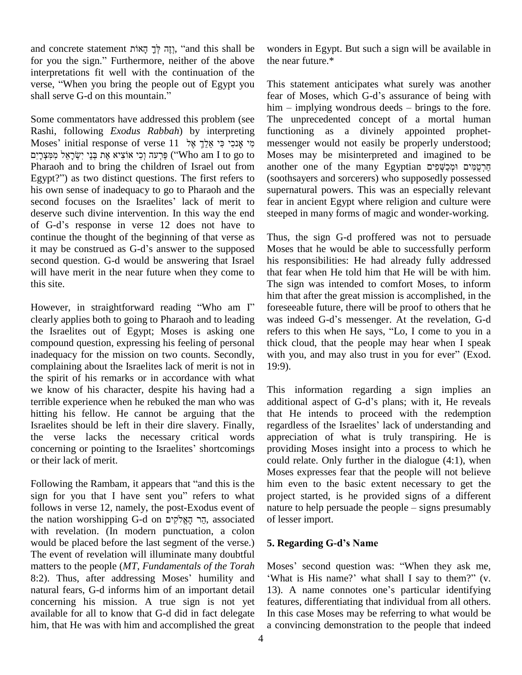and concrete statement יְזֶה לְּךָ הָאוֹת, "and this shall be wond and concrete statement רְוָה לְּךָ הָאוֹת, "and this shall be wond<br>for you the sign." Furthermore, neither of the above the n interpretations fit well with the continuation of the for you the sign." Furthermore, neither of the above the ne interpretations fit well with the continuation of the verse, "When you bring the people out of Egypt you This interpretations fit well with the continuancy<br>verse, "When you bring the people out of<br>shall serve G-d on this mountain."

Some commentators have addressed this problem (see Rashi, following *Exodus Rabbah*) by interpreting Some commentators have addressed this problem (see The<br>Rashi, following *Exodus Rabbah*) by interpreting fun<br>מִי אָנִכִי כִּי אֵלֵךְ אֶל 11 esponse of verse <code>Moses</code>' initial response of verse  $11$  אֲלֵךְ אֱלֹ $\,$ יֹמֲמָצְרָיִם ('`Who am I to go to to go to  $\,$ Pharaoh and to bring the children of Israel out from פּרְעה וְכִי אוֹצִיא אֶת בְּנֵי יִשְׂרָאֵל מִמְּצְרָיִם ("Who am I to go to Moses")<br>Pharaoh and to bring the children of Israel out from anothe<br>Egypt?") as two distinct questions. The first refers to (sooth his own sense of inadequacy to go to Pharaoh and the Egypt?") as two distinct questions. The first refers to (sooth<br>his own sense of inadequacy to go to Pharaoh and the superr<br>second focuses on the Israelites' lack of merit to fear in deserve such divine intervention. In this way the end second focuses on the Israelites' lack of merit to deserve such divine intervention. In this way the end of G-d's response in verse 12 does not have to continue the thought of the beginning of that verse as Thu of G-d's response in verse 12 does not have to<br>continue the thought of the beginning of that verse as Thus,<br>it may be construed as G-d's answer to the supposed Moses second question. G-d would be answering that Israel will have merit in the near future when they come to this site.

However, in straightforward reading "Who am I" clearly applies both to going to Pharaoh and to leading was indeed G-d's messenger. At the revelation, G-d the Israelites out of Egypt; Moses is asking one compound question, expressing his feeling of personal inadequacy for the mission on two counts. Secondly, with you, and may also trust in you for ever" (Exod. complaining about the Israelites lack of merit is not in the spirit of his remarks or in accordance with what we know of his character, despite his having had a terrible experience when he rebuked the man who was additional aspect of G-d's plans; with it, He reveals hitting his fellow. He cannot be arguing that the Israelites should be left in their dire slavery. Finally, regardless of the Israelites' lack of understanding and the verse lacks the necessary critical words concerning or pointing to the Israelites' shortcomings or their lack of merit.

Following the Rambam, it appears that "and this is the M<br>Following the Rambam, it appears that "and this is the hi<br>sign for you that I have sent you" refers to what pr follows in verse 12, namely, the post-Exodus event of nature to help persuade the people – signs presumably sign for you that I have sent you" refers to what projec follows in verse 12, namely, the post-Exodus event of nature<br>the nation worshipping G-d on הֲר הָאֱלֹקִים, associated of less with revelation. (In modern punctuation, a colon would be placed before the last segment of the verse.) The event of revelation will illuminate many doubtful matters to the people (*MT*, *Fundamentals of the Torah* 8:2). Thus, after addressing Moses' humility and 'What is His name?' what shall I say to them?" (v. natural fears, G-d informs him of an important detail 13). A name connotes one's particular identifying concerning his mission. A true sign is not yet available for all to know that G-d did in fact delegate him, that He was with him and accomplished the great

wonders in Egypt. But such a sign will be available in the near future.\*

This statement anticipates what surely was another This statement anticipates what surely was another<br>fear of Moses, which G-d's assurance of being with This statement anticipates what surely was another<br>fear of Moses, which G-d's assurance of being with<br>him – implying wondrous deeds – brings to the fore. The unprecedented concept of a mortal human functioning as a divinely appointed prophet messenger would not easily be properly understood; Moses may be misinterpreted and imagined to be another one of the many Egyptian מִרְטָמִים וּמְכַשְׁפִים (soothsayers and sorcerers) who supposedly possessed supernatural powers. This was an especially relevant fear in ancient Egypt where religion and culture were steeped in many forms of magic and wonder-working.

Thus, the sign G-d proffered was not to persuade Moses that he would be able to successfully perform his responsibilities: He had already fully addressed that fear when He told him that He will be with him. The sign was intended to comfort Moses, to inform him that after the great mission is accomplished, in the foreseeable future, there will be proof to others that he him that after the great mission is accomplished, in the foreseeable future, there will be proof to others that he was indeed G-d's messenger. At the revelation, G-d foreseeable future, there will be proof to others that he<br>was indeed G-d's messenger. At the revelation, G-d<br>refers to this when He says, "Lo, I come to you in a thick cloud, that the people may hear when I speak refers to this when He says, "Lo, I come to you in a<br>thick cloud, that the people may hear when I speak<br>with you, and may also trust in you for ever" (Exod. 19:9).

This information regarding a sign implies an This information regarding a sign implies an<br>additional aspect of G-d's plans; with it, He reveals that He intends to proceed with the redemption additional aspect of G-d's plans; with it, He reveals<br>that He intends to proceed with the redemption<br>regardless of the Israelites' lack of understanding and appreciation of what is truly transpiring. He is providing Moses insight into a process to which he could relate. Only further in the dialogue (4:1), when Moses expresses fear that the people will not believe him even to the basic extent necessary to get the project started, is he provided signs of a different nature to help persuade the people – signs presumably project started, is he provided signs of a different of lesser import.

#### **5. Regarding G-dís Name**

5. Regarding G-d's Name<br>Moses' second question was: "When they ask me, Moses' second question was: "When they ask me,<br>What is His name?' what shall I say to them?" (v. Moses' second question was: "When they ask me,<br>"What is His name?' what shall I say to them?" (v.<br>13). A name connotes one's particular identifying features, differentiating that individual from all others. In this case Moses may be referring to what would be a convincing demonstration to the people that indeed